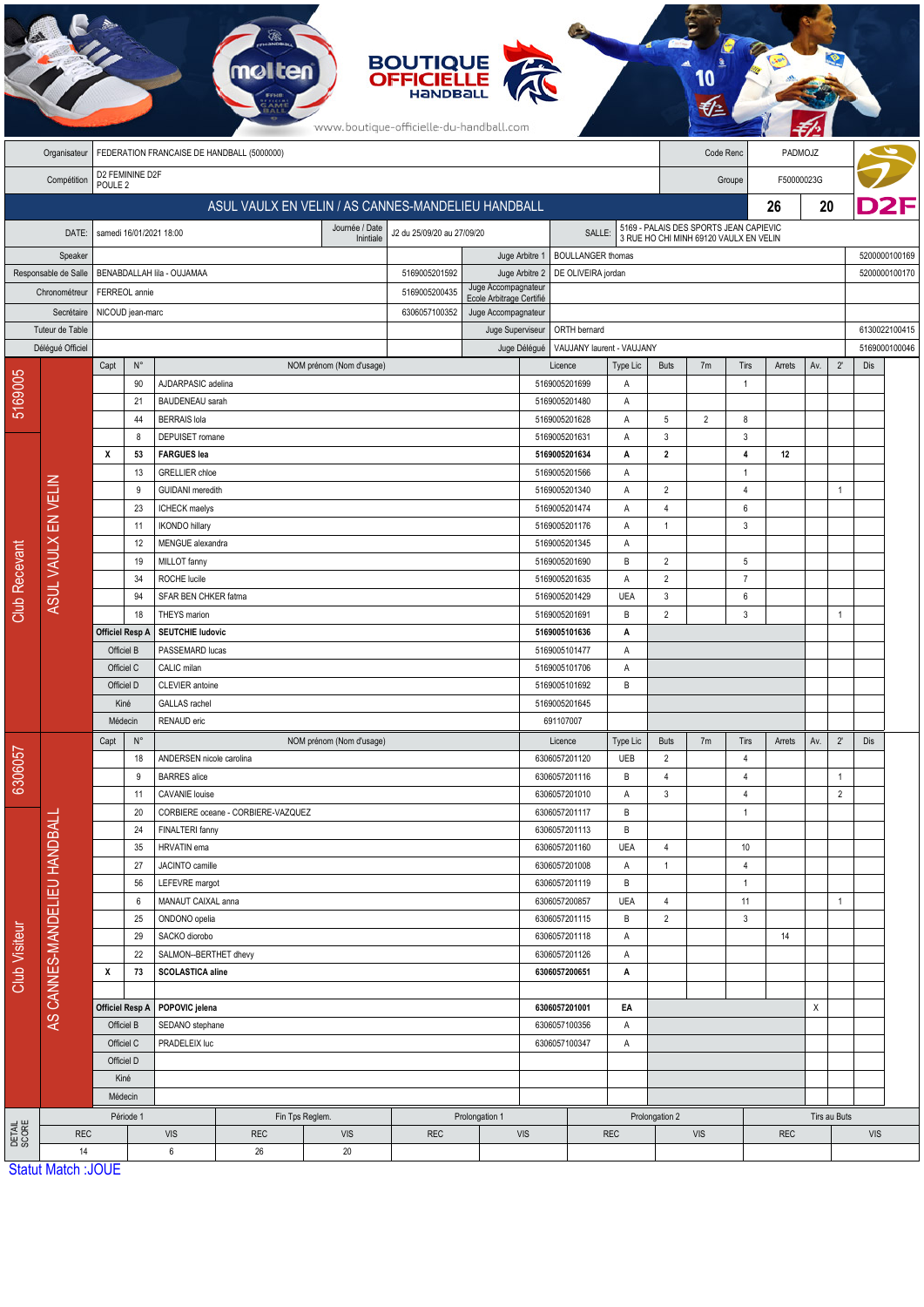|                             |                              |                                                                         |                                         |                                                                     |                                          |                          | <b>BOUTIQUE<br/>OFFICIELLE</b><br>www.boutique-officielle-du-handball.com |                                                                                                     |                                |                 |                                                                                  |                |                                |            |                           |                                |            |               |  |
|-----------------------------|------------------------------|-------------------------------------------------------------------------|-----------------------------------------|---------------------------------------------------------------------|------------------------------------------|--------------------------|---------------------------------------------------------------------------|-----------------------------------------------------------------------------------------------------|--------------------------------|-----------------|----------------------------------------------------------------------------------|----------------|--------------------------------|------------|---------------------------|--------------------------------|------------|---------------|--|
|                             | Organisateur                 | FEDERATION FRANCAISE DE HANDBALL (5000000)                              |                                         |                                                                     |                                          |                          |                                                                           |                                                                                                     |                                |                 |                                                                                  | Code Renc      |                                | PADMOJZ    |                           |                                |            |               |  |
|                             | Compétition                  | D2 FEMININE D2F<br>POULE <sub>2</sub>                                   |                                         |                                                                     |                                          |                          |                                                                           |                                                                                                     |                                |                 | F50000023G<br>Groupe                                                             |                |                                |            |                           |                                |            |               |  |
|                             |                              | ASUL VAULX EN VELIN / AS CANNES-MANDELIEU HANDBALL                      |                                         |                                                                     |                                          |                          |                                                                           |                                                                                                     |                                |                 |                                                                                  |                |                                | 26         | 20                        |                                |            |               |  |
|                             |                              | Journée / Date<br>J2 du 25/09/20 au 27/09/20<br>samedi 16/01/2021 18:00 |                                         |                                                                     |                                          |                          |                                                                           |                                                                                                     |                                |                 |                                                                                  |                |                                |            |                           |                                |            |               |  |
|                             | DATE:                        |                                                                         |                                         |                                                                     |                                          | Inintiale                | SALLE:                                                                    |                                                                                                     |                                |                 | 5169 - PALAIS DES SPORTS JEAN CAPIEVIC<br>3 RUE HO CHI MINH 69120 VAULX EN VELIN |                |                                |            |                           |                                |            |               |  |
| Speaker                     |                              | BENABDALLAH lila - OUJAMAA                                              |                                         |                                                                     |                                          |                          |                                                                           | <b>BOULLANGER thomas</b><br>Juge Arbitre 1<br>5169005201592<br>Juge Arbitre 2<br>DE OLIVEIRA jordan |                                |                 |                                                                                  |                |                                |            |                           |                                |            | 5200000100169 |  |
| Responsable de Salle        |                              |                                                                         |                                         |                                                                     |                                          |                          | 5169005200435                                                             | Juge Accompagnateur                                                                                 |                                |                 |                                                                                  |                |                                |            |                           |                                |            | 5200000100170 |  |
| Chronométreur<br>Secrétaire |                              | FERREOL annie<br>NICOUD jean-marc                                       |                                         |                                                                     |                                          |                          | 6306057100352                                                             | Ecole Arbitrage Certifié<br>Juge Accompagnateur                                                     |                                |                 |                                                                                  |                |                                |            |                           |                                |            |               |  |
| Tuteur de Table             |                              |                                                                         |                                         |                                                                     |                                          |                          |                                                                           | Juge Superviseur                                                                                    | ORTH bernard                   |                 |                                                                                  |                |                                |            |                           | 6130022100415                  |            |               |  |
|                             | Délégué Officiel             |                                                                         |                                         |                                                                     |                                          |                          |                                                                           | Juge Délégué                                                                                        | VAUJANY laurent - VAUJANY      |                 |                                                                                  |                |                                |            |                           |                                |            | 5169000100046 |  |
|                             |                              | Capt                                                                    | $N^{\circ}$                             |                                                                     |                                          | NOM prénom (Nom d'usage) |                                                                           |                                                                                                     | Licence                        | Type Lic        | <b>Buts</b>                                                                      | 7m             | Tirs                           | Arrets     | $2^{\circ}$<br>Av.<br>Dis |                                |            |               |  |
| 5169005                     |                              |                                                                         | 90                                      | AJDARPASIC adelina                                                  |                                          |                          |                                                                           |                                                                                                     | 5169005201699                  | Α               |                                                                                  |                | $\mathbf{1}$                   |            |                           |                                |            |               |  |
|                             |                              |                                                                         | 21                                      | BAUDENEAU sarah                                                     |                                          |                          |                                                                           |                                                                                                     | 5169005201480                  | A               |                                                                                  |                |                                |            |                           |                                |            |               |  |
|                             |                              |                                                                         | 44                                      | <b>BERRAIS</b> lola                                                 |                                          |                          |                                                                           |                                                                                                     | 5169005201628                  | Α               | $\sqrt{5}$                                                                       | $\overline{2}$ | 8                              |            |                           |                                |            |               |  |
|                             |                              |                                                                         | 8                                       | DEPUISET romane                                                     |                                          |                          |                                                                           |                                                                                                     | 5169005201631                  | Α               | $\mathbf{3}$                                                                     |                | 3                              |            |                           |                                |            |               |  |
|                             |                              | х                                                                       | 53                                      | <b>FARGUES</b> lea                                                  |                                          |                          |                                                                           |                                                                                                     | 5169005201634<br>Α             |                 | $\overline{2}$                                                                   |                | 4                              | 12         |                           |                                |            |               |  |
|                             |                              |                                                                         | 13<br>9                                 | <b>GRELLIER</b> chloe<br><b>GUIDANI</b> meredith                    |                                          |                          |                                                                           |                                                                                                     | 5169005201566<br>5169005201340 | Α<br>Α          | $\overline{2}$                                                                   |                | $\mathbf{1}$<br>$\overline{4}$ |            |                           | $\mathbf{1}$                   |            |               |  |
|                             |                              |                                                                         | 23                                      | ICHECK maelys                                                       |                                          |                          |                                                                           |                                                                                                     | 5169005201474                  | Α               | $\overline{4}$                                                                   |                | 6                              |            |                           |                                |            |               |  |
|                             |                              |                                                                         | 11                                      | <b>IKONDO hillary</b>                                               |                                          |                          |                                                                           |                                                                                                     | 5169005201176                  | A               | $\mathbf{1}$                                                                     |                | 3                              |            |                           |                                |            |               |  |
|                             |                              |                                                                         | 12<br>MENGUE alexandra<br>5169005201345 |                                                                     |                                          |                          |                                                                           |                                                                                                     | Α                              |                 |                                                                                  |                |                                |            |                           |                                |            |               |  |
|                             |                              |                                                                         | 19<br>MILLOT fanny                      |                                                                     |                                          |                          |                                                                           | 5169005201690                                                                                       |                                |                 | $\overline{2}$                                                                   |                | 5                              |            |                           |                                |            |               |  |
|                             | ASUL VAULX EN VELIN          |                                                                         | 34                                      | ROCHE lucile<br>5169005201635                                       |                                          |                          |                                                                           |                                                                                                     |                                | B<br>Α          | $\overline{2}$                                                                   |                | $\overline{7}$                 |            |                           |                                |            |               |  |
| Club Recevant               |                              |                                                                         | 94                                      | SFAR BEN CHKER fatma                                                |                                          |                          |                                                                           |                                                                                                     | 5169005201429                  | <b>UEA</b>      | $\mathbf{3}$                                                                     |                | 6                              |            |                           |                                |            |               |  |
|                             |                              |                                                                         | 18                                      | THEYS marion                                                        |                                          |                          |                                                                           |                                                                                                     | 5169005201691                  | B               | $\overline{2}$                                                                   |                | $\mathbf{3}$                   |            |                           | $\mathbf{1}$                   |            |               |  |
|                             |                              | <b>Officiel Resp A</b>                                                  |                                         |                                                                     | <b>SEUTCHIE ludovic</b><br>5169005101636 |                          |                                                                           |                                                                                                     |                                | Α               |                                                                                  |                |                                |            |                           |                                |            |               |  |
|                             |                              |                                                                         | Officiel B                              | PASSEMARD lucas<br>5169005101477<br>Α                               |                                          |                          |                                                                           |                                                                                                     |                                |                 |                                                                                  |                |                                |            |                           |                                |            |               |  |
|                             |                              | Officiel C                                                              |                                         | CALIC milan                                                         |                                          |                          |                                                                           |                                                                                                     | 5169005101706                  |                 |                                                                                  |                |                                |            |                           |                                |            |               |  |
|                             |                              | Officiel D                                                              |                                         | CLEVIER antoine<br>5169005101692                                    |                                          |                          |                                                                           |                                                                                                     |                                | B               |                                                                                  |                |                                |            |                           |                                |            |               |  |
|                             |                              | Kiné                                                                    |                                         | <b>GALLAS</b> rachel                                                | 5169005201645                            |                          |                                                                           |                                                                                                     |                                |                 |                                                                                  |                |                                |            |                           |                                |            |               |  |
|                             |                              | Médecin                                                                 |                                         | RENAUD eric                                                         | 691107007                                |                          |                                                                           |                                                                                                     |                                |                 |                                                                                  |                |                                |            |                           |                                |            |               |  |
|                             |                              | Capt                                                                    | $\mathsf{N}^\circ$                      |                                                                     |                                          | NOM prénom (Nom d'usage) |                                                                           |                                                                                                     | Licence                        | Type Lic        | <b>Buts</b>                                                                      | 7m             | Tirs                           | Arrets     | Av.                       | $2^{\prime}$                   | Dis        |               |  |
| 6306057                     |                              |                                                                         | 18                                      | ANDERSEN nicole carolina                                            |                                          |                          |                                                                           |                                                                                                     | 6306057201120                  | <b>UEB</b><br>B | $\sqrt{2}$<br>$\sqrt{4}$                                                         |                | $\overline{4}$                 |            |                           |                                |            |               |  |
|                             |                              |                                                                         | 9<br>11                                 | <b>BARRES</b> alice<br><b>CAVANIE</b> louise                        |                                          |                          |                                                                           |                                                                                                     | 6306057201116<br>6306057201010 | Α               | $\sqrt{3}$                                                                       |                | 4<br>$\overline{4}$            |            |                           | $\mathbf{1}$<br>$\overline{2}$ |            |               |  |
|                             |                              |                                                                         | 20                                      |                                                                     | CORBIERE oceane - CORBIERE-VAZQUEZ       |                          |                                                                           |                                                                                                     | 6306057201117                  | B               |                                                                                  |                | $\mathbf{1}$                   |            |                           |                                |            |               |  |
|                             |                              |                                                                         | 24                                      | FINALTERI fanny                                                     |                                          |                          |                                                                           |                                                                                                     | 6306057201113                  | B               |                                                                                  |                |                                |            |                           |                                |            |               |  |
|                             |                              |                                                                         | 35<br>HRVATIN ema                       |                                                                     |                                          |                          | 6306057201160                                                             | <b>UEA</b>                                                                                          | $\overline{4}$                 |                 | 10                                                                               |                |                                |            |                           |                                |            |               |  |
|                             |                              |                                                                         | 27                                      | JACINTO camille                                                     |                                          |                          |                                                                           |                                                                                                     | 6306057201008                  | Α               | $\mathbf{1}$                                                                     |                | $\overline{4}$                 |            |                           |                                |            |               |  |
|                             |                              |                                                                         | 56                                      | LEFEVRE margot                                                      |                                          |                          |                                                                           |                                                                                                     | 6306057201119                  | В               |                                                                                  |                | $\mathbf{1}$                   |            |                           |                                |            |               |  |
| Club Visiteur               |                              |                                                                         | $\boldsymbol{6}$                        | MANAUT CAIXAL anna                                                  |                                          |                          |                                                                           |                                                                                                     | 6306057200857                  | <b>UEA</b>      | $\overline{4}$                                                                   |                | 11                             |            |                           | $\overline{1}$                 |            |               |  |
|                             |                              |                                                                         | 25                                      | ONDONO opelia                                                       | 6306057201115                            |                          |                                                                           |                                                                                                     |                                | B               | $\overline{2}$                                                                   |                | 3                              |            |                           |                                |            |               |  |
|                             | AS CANNES-MANDELIEU HANDBALI |                                                                         | 29                                      | SACKO diorobo                                                       |                                          |                          |                                                                           |                                                                                                     | 6306057201118                  | A               |                                                                                  |                |                                | 14         |                           |                                |            |               |  |
|                             |                              |                                                                         | 22                                      | SALMON--BERTHET dhevy                                               |                                          |                          |                                                                           |                                                                                                     | 6306057201126                  | Α               |                                                                                  |                |                                |            |                           |                                |            |               |  |
|                             |                              | х                                                                       | 73                                      | <b>SCOLASTICA aline</b><br>6306057200651                            |                                          |                          |                                                                           |                                                                                                     |                                | Α               |                                                                                  |                |                                |            |                           |                                |            |               |  |
|                             |                              |                                                                         |                                         |                                                                     |                                          |                          |                                                                           |                                                                                                     |                                |                 |                                                                                  |                |                                |            | $\boldsymbol{\mathsf{X}}$ |                                |            |               |  |
|                             |                              | <b>Officiel Resp A</b><br>Officiel B                                    |                                         | POPOVIC jelena<br>6306057201001<br>SEDANO stephane<br>6306057100356 |                                          |                          |                                                                           |                                                                                                     | EA<br>Α                        |                 |                                                                                  |                |                                |            |                           |                                |            |               |  |
|                             |                              | Officiel C                                                              |                                         | PRADELEIX luc<br>6306057100347                                      |                                          |                          |                                                                           |                                                                                                     | Α                              |                 |                                                                                  |                |                                |            |                           |                                |            |               |  |
|                             |                              | Officiel D                                                              |                                         |                                                                     |                                          |                          |                                                                           |                                                                                                     |                                |                 |                                                                                  |                |                                |            |                           |                                |            |               |  |
|                             |                              | Kiné<br>Médecin                                                         |                                         |                                                                     |                                          |                          |                                                                           |                                                                                                     |                                |                 |                                                                                  |                |                                |            |                           |                                |            |               |  |
|                             |                              |                                                                         |                                         |                                                                     |                                          |                          |                                                                           |                                                                                                     |                                |                 |                                                                                  |                |                                |            |                           |                                |            |               |  |
|                             |                              | Période 1                                                               |                                         |                                                                     |                                          | Fin Tps Reglem.          |                                                                           | Prolongation 1                                                                                      |                                |                 | Prolongation 2                                                                   |                |                                |            |                           | Tirs au Buts                   |            |               |  |
| DETAIL<br>SCORE             | <b>REC</b>                   |                                                                         |                                         | <b>VIS</b>                                                          | <b>REC</b>                               | <b>VIS</b>               | <b>REC</b>                                                                | <b>VIS</b>                                                                                          |                                | <b>REC</b>      |                                                                                  | <b>VIS</b>     |                                | <b>REC</b> |                           |                                | <b>VIS</b> |               |  |
|                             | 14                           |                                                                         |                                         | 6                                                                   | 20<br>26                                 |                          |                                                                           |                                                                                                     |                                |                 |                                                                                  |                |                                |            |                           |                                |            |               |  |
|                             | <b>Statut Match: JOUE</b>    |                                                                         |                                         |                                                                     |                                          |                          |                                                                           |                                                                                                     |                                |                 |                                                                                  |                |                                |            |                           |                                |            |               |  |